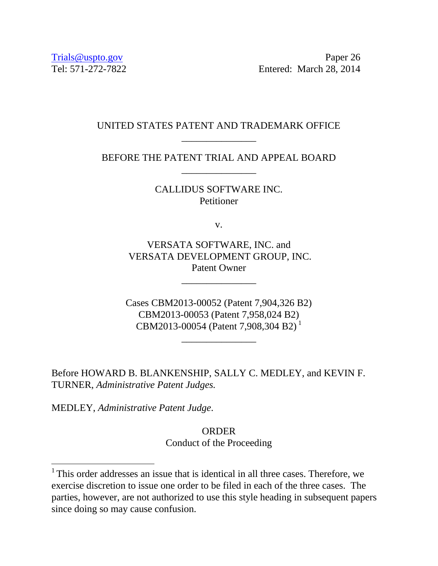Trials@uspto.gov Paper 26 Tel: 571-272-7822 Entered: March 28, 2014

## UNITED STATES PATENT AND TRADEMARK OFFICE \_\_\_\_\_\_\_\_\_\_\_\_\_\_\_

BEFORE THE PATENT TRIAL AND APPEAL BOARD \_\_\_\_\_\_\_\_\_\_\_\_\_\_\_

> CALLIDUS SOFTWARE INC. Petitioner

> > v.

VERSATA SOFTWARE, INC. and VERSATA DEVELOPMENT GROUP, INC. Patent Owner

\_\_\_\_\_\_\_\_\_\_\_\_\_\_\_

Cases CBM2013-00052 (Patent 7,904,326 B2) CBM2013-00053 (Patent 7,958,024 B2) CBM2013-00054 (Patent 7,908,304 B2)<sup>1</sup>

\_\_\_\_\_\_\_\_\_\_\_\_\_\_\_

Before HOWARD B. BLANKENSHIP, SALLY C. MEDLEY, and KEVIN F. TURNER, *Administrative Patent Judges.* 

MEDLEY, *Administrative Patent Judge*.

 $\overline{a}$ 

ORDER Conduct of the Proceeding

<sup>&</sup>lt;sup>1</sup> This order addresses an issue that is identical in all three cases. Therefore, we exercise discretion to issue one order to be filed in each of the three cases. The parties, however, are not authorized to use this style heading in subsequent papers since doing so may cause confusion.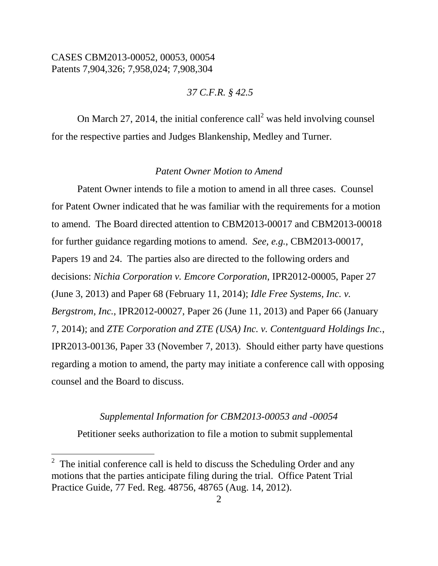*37 C.F.R. § 42.5*

On March 27, 2014, the initial conference call<sup>2</sup> was held involving counsel for the respective parties and Judges Blankenship, Medley and Turner.

#### *Patent Owner Motion to Amend*

Patent Owner intends to file a motion to amend in all three cases. Counsel for Patent Owner indicated that he was familiar with the requirements for a motion to amend. The Board directed attention to CBM2013-00017 and CBM2013-00018 for further guidance regarding motions to amend. *See, e.g.*, CBM2013-00017, Papers 19 and 24. The parties also are directed to the following orders and decisions: *Nichia Corporation v. Emcore Corporation*, IPR2012-00005, Paper 27 (June 3, 2013) and Paper 68 (February 11, 2014); *Idle Free Systems, Inc. v. Bergstrom, Inc.*, IPR2012-00027, Paper 26 (June 11, 2013) and Paper 66 (January 7, 2014); and *ZTE Corporation and ZTE (USA) Inc. v. Contentguard Holdings Inc.*, IPR2013-00136, Paper 33 (November 7, 2013). Should either party have questions regarding a motion to amend, the party may initiate a conference call with opposing counsel and the Board to discuss.

#### *Supplemental Information for CBM2013-00053 and -00054*

Petitioner seeks authorization to file a motion to submit supplemental

 $\overline{a}$ 

<sup>&</sup>lt;sup>2</sup> The initial conference call is held to discuss the Scheduling Order and any motions that the parties anticipate filing during the trial. Office Patent Trial Practice Guide, 77 Fed. Reg. 48756, 48765 (Aug. 14, 2012).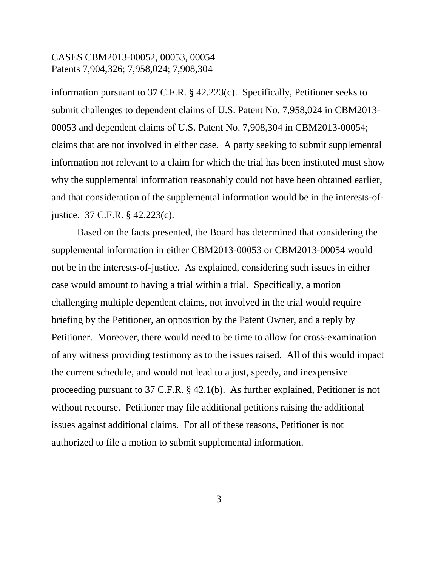information pursuant to 37 C.F.R. § 42.223(c). Specifically, Petitioner seeks to submit challenges to dependent claims of U.S. Patent No. 7,958,024 in CBM2013- 00053 and dependent claims of U.S. Patent No. 7,908,304 in CBM2013-00054; claims that are not involved in either case. A party seeking to submit supplemental information not relevant to a claim for which the trial has been instituted must show why the supplemental information reasonably could not have been obtained earlier, and that consideration of the supplemental information would be in the interests-ofjustice. 37 C.F.R. § 42.223(c).

Based on the facts presented, the Board has determined that considering the supplemental information in either CBM2013-00053 or CBM2013-00054 would not be in the interests-of-justice. As explained, considering such issues in either case would amount to having a trial within a trial. Specifically, a motion challenging multiple dependent claims, not involved in the trial would require briefing by the Petitioner, an opposition by the Patent Owner, and a reply by Petitioner. Moreover, there would need to be time to allow for cross-examination of any witness providing testimony as to the issues raised. All of this would impact the current schedule, and would not lead to a just, speedy, and inexpensive proceeding pursuant to 37 C.F.R. § 42.1(b). As further explained, Petitioner is not without recourse. Petitioner may file additional petitions raising the additional issues against additional claims. For all of these reasons, Petitioner is not authorized to file a motion to submit supplemental information.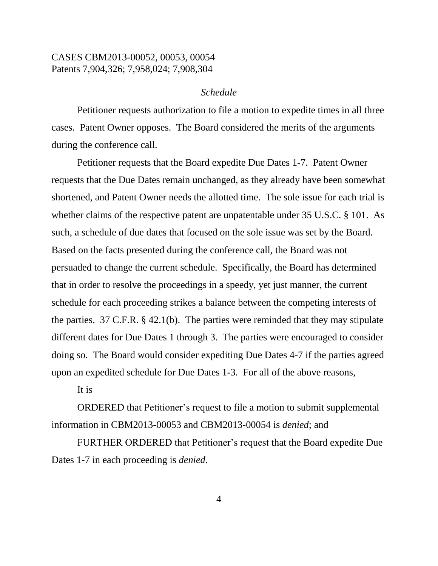#### *Schedule*

Petitioner requests authorization to file a motion to expedite times in all three cases. Patent Owner opposes. The Board considered the merits of the arguments during the conference call.

Petitioner requests that the Board expedite Due Dates 1-7. Patent Owner requests that the Due Dates remain unchanged, as they already have been somewhat shortened, and Patent Owner needs the allotted time. The sole issue for each trial is whether claims of the respective patent are unpatentable under 35 U.S.C. § 101. As such, a schedule of due dates that focused on the sole issue was set by the Board. Based on the facts presented during the conference call, the Board was not persuaded to change the current schedule. Specifically, the Board has determined that in order to resolve the proceedings in a speedy, yet just manner, the current schedule for each proceeding strikes a balance between the competing interests of the parties. 37 C.F.R. § 42.1(b). The parties were reminded that they may stipulate different dates for Due Dates 1 through 3. The parties were encouraged to consider doing so. The Board would consider expediting Due Dates 4-7 if the parties agreed upon an expedited schedule for Due Dates 1-3. For all of the above reasons,

It is

ORDERED that Petitioner's request to file a motion to submit supplemental information in CBM2013-00053 and CBM2013-00054 is *denied*; and

FURTHER ORDERED that Petitioner's request that the Board expedite Due Dates 1-7 in each proceeding is *denied*.

4